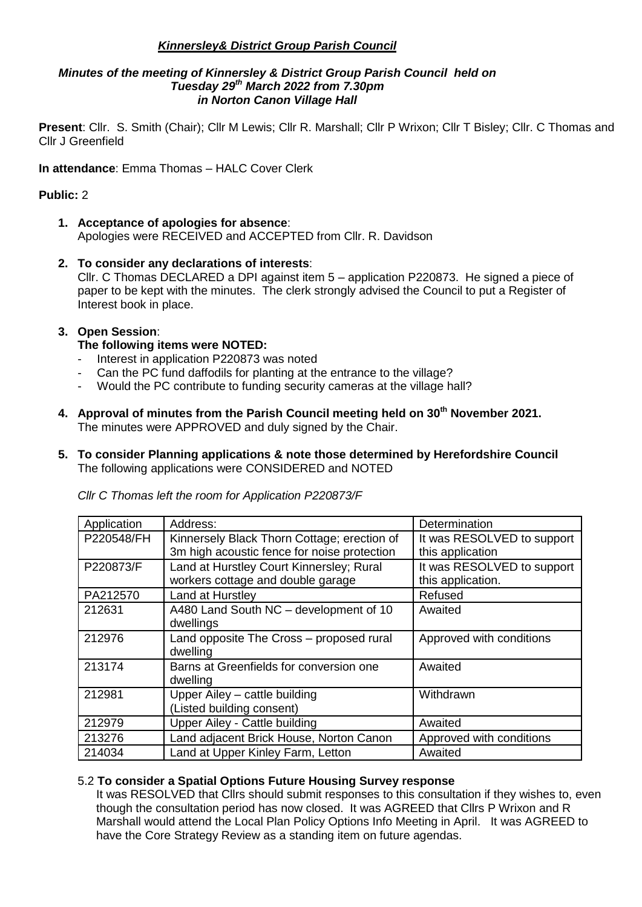## *Kinnersley& District Group Parish Council*

#### *Minutes of the meeting of Kinnersley & District Group Parish Council held on Tuesday 29th March 2022 from 7.30pm in Norton Canon Village Hall*

**Present**: Cllr. S. Smith (Chair); Cllr M Lewis; Cllr R. Marshall; Cllr P Wrixon; Cllr T Bisley; Cllr. C Thomas and Cllr J Greenfield

**In attendance**: Emma Thomas – HALC Cover Clerk

# **Public:** 2

- **1. Acceptance of apologies for absence**: Apologies were RECEIVED and ACCEPTED from Cllr. R. Davidson
- **2. To consider any declarations of interests**: Cllr. C Thomas DECLARED a DPI against item 5 – application P220873. He signed a piece of paper to be kept with the minutes. The clerk strongly advised the Council to put a Register of Interest book in place.

## **3. Open Session**:

# **The following items were NOTED:**

- Interest in application P220873 was noted
- Can the PC fund daffodils for planting at the entrance to the village?
- Would the PC contribute to funding security cameras at the village hall?
- **4. Approval of minutes from the Parish Council meeting held on 30th November 2021.** The minutes were APPROVED and duly signed by the Chair.
- **5. To consider Planning applications & note those determined by Herefordshire Council** The following applications were CONSIDERED and NOTED

| Application | Address:                                    | Determination              |
|-------------|---------------------------------------------|----------------------------|
| P220548/FH  | Kinnersely Black Thorn Cottage; erection of | It was RESOLVED to support |
|             | 3m high acoustic fence for noise protection | this application           |
| P220873/F   | Land at Hurstley Court Kinnersley; Rural    | It was RESOLVED to support |
|             | workers cottage and double garage           | this application.          |
| PA212570    | Land at Hurstley                            | Refused                    |
| 212631      | A480 Land South NC - development of 10      | Awaited                    |
|             | dwellings                                   |                            |
| 212976      | Land opposite The Cross - proposed rural    | Approved with conditions   |
|             | dwelling                                    |                            |
| 213174      | Barns at Greenfields for conversion one     | Awaited                    |
|             | dwelling                                    |                            |
| 212981      | Upper Ailey - cattle building               | Withdrawn                  |
|             | (Listed building consent)                   |                            |
| 212979      | Upper Ailey - Cattle building               | Awaited                    |
| 213276      | Land adjacent Brick House, Norton Canon     | Approved with conditions   |
| 214034      | Land at Upper Kinley Farm, Letton           | Awaited                    |

*Cllr C Thomas left the room for Application P220873/F*

## 5.2 **To consider a Spatial Options Future Housing Survey response**

It was RESOLVED that Cllrs should submit responses to this consultation if they wishes to, even though the consultation period has now closed. It was AGREED that Cllrs P Wrixon and R Marshall would attend the Local Plan Policy Options Info Meeting in April. It was AGREED to have the Core Strategy Review as a standing item on future agendas.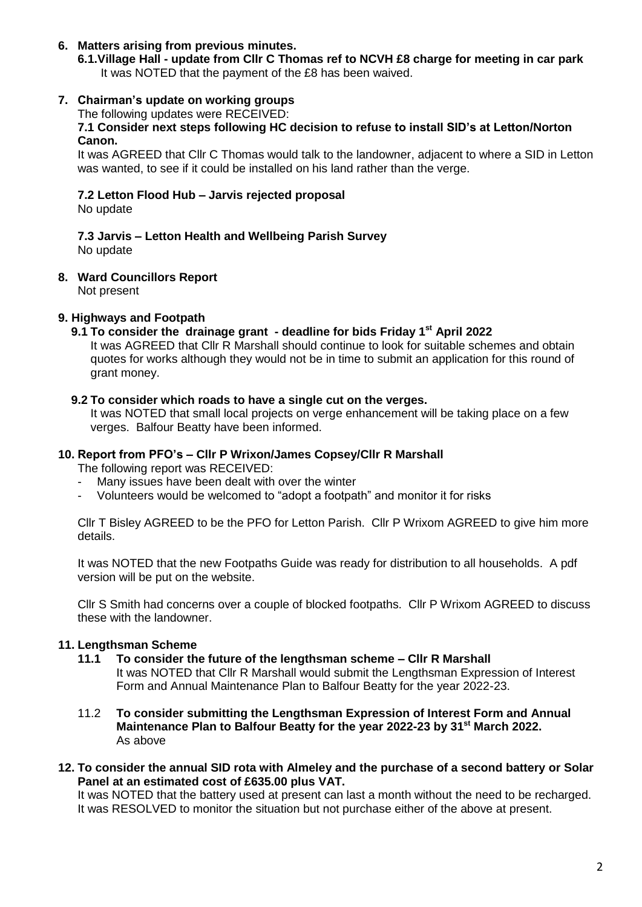## **6. Matters arising from previous minutes.**

**6.1.Village Hall - update from Cllr C Thomas ref to NCVH £8 charge for meeting in car park** It was NOTED that the payment of the £8 has been waived.

# **7. Chairman's update on working groups**

The following updates were RECEIVED:

#### **7.1 Consider next steps following HC decision to refuse to install SID's at Letton/Norton Canon.**

It was AGREED that Cllr C Thomas would talk to the landowner, adjacent to where a SID in Letton was wanted, to see if it could be installed on his land rather than the verge.

# **7.2 Letton Flood Hub – Jarvis rejected proposal**

No update

# **7.3 Jarvis – Letton Health and Wellbeing Parish Survey**

No update

# **8. Ward Councillors Report**

Not present

# **9. Highways and Footpath**

# **9.1 To consider the drainage grant - deadline for bids Friday 1st April 2022**

It was AGREED that Cllr R Marshall should continue to look for suitable schemes and obtain quotes for works although they would not be in time to submit an application for this round of grant money.

## **9.2 To consider which roads to have a single cut on the verges.**

It was NOTED that small local projects on verge enhancement will be taking place on a few verges. Balfour Beatty have been informed.

# **10. Report from PFO's – Cllr P Wrixon/James Copsey/Cllr R Marshall**

The following report was RECEIVED:

- Many issues have been dealt with over the winter
- Volunteers would be welcomed to "adopt a footpath" and monitor it for risks

Cllr T Bisley AGREED to be the PFO for Letton Parish. Cllr P Wrixom AGREED to give him more details.

It was NOTED that the new Footpaths Guide was ready for distribution to all households. A pdf version will be put on the website.

Cllr S Smith had concerns over a couple of blocked footpaths. Cllr P Wrixom AGREED to discuss these with the landowner.

# **11. Lengthsman Scheme**

- **11.1 To consider the future of the lengthsman scheme – Cllr R Marshall** It was NOTED that Cllr R Marshall would submit the Lengthsman Expression of Interest Form and Annual Maintenance Plan to Balfour Beatty for the year 2022-23.
- 11.2 **To consider submitting the Lengthsman Expression of Interest Form and Annual Maintenance Plan to Balfour Beatty for the year 2022-23 by 31st March 2022.** As above
- **12. To consider the annual SID rota with Almeley and the purchase of a second battery or Solar Panel at an estimated cost of £635.00 plus VAT.**

It was NOTED that the battery used at present can last a month without the need to be recharged. It was RESOLVED to monitor the situation but not purchase either of the above at present.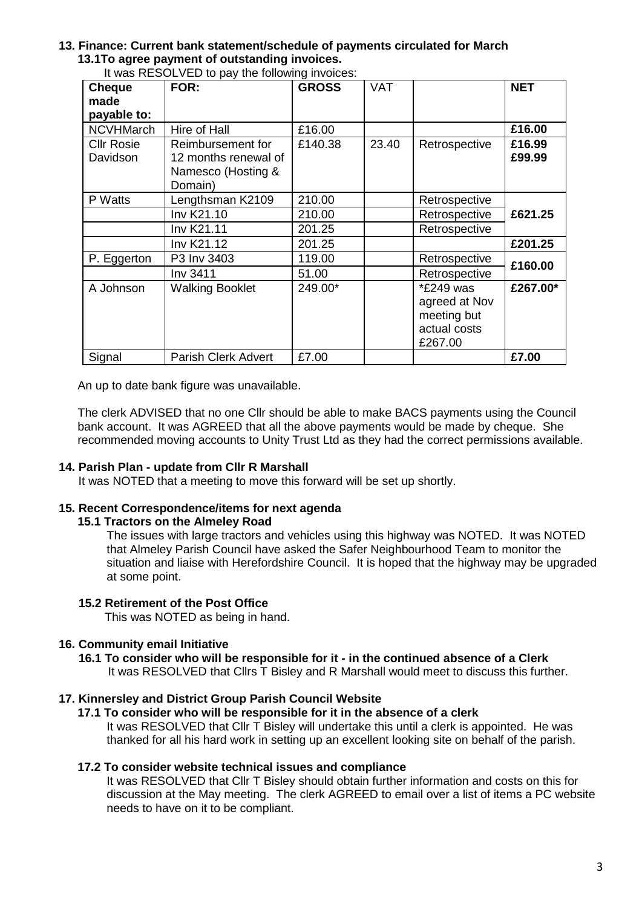# **13. Finance: Current bank statement/schedule of payments circulated for March 13.1To agree payment of outstanding invoices.**

| <b>Cheque</b><br>made<br>payable to: | FOR:                                                                       | <b>GROSS</b> | <b>VAT</b> |                                                                      | <b>NET</b>       |
|--------------------------------------|----------------------------------------------------------------------------|--------------|------------|----------------------------------------------------------------------|------------------|
| <b>NCVHMarch</b>                     | Hire of Hall                                                               | £16.00       |            |                                                                      | £16.00           |
| <b>CIIr Rosie</b><br>Davidson        | Reimbursement for<br>12 months renewal of<br>Namesco (Hosting &<br>Domain) | £140.38      | 23.40      | Retrospective                                                        | £16.99<br>£99.99 |
| P Watts                              | Lengthsman K2109                                                           | 210.00       |            | Retrospective                                                        | £621.25          |
|                                      | Inv K21.10                                                                 | 210.00       |            | Retrospective                                                        |                  |
|                                      | Inv K21.11                                                                 | 201.25       |            | Retrospective                                                        |                  |
|                                      | Inv K21.12                                                                 | 201.25       |            |                                                                      | £201.25          |
| P. Eggerton                          | P3 Inv 3403                                                                | 119.00       |            | Retrospective                                                        | £160.00          |
|                                      | Inv 3411                                                                   | 51.00        |            | Retrospective                                                        |                  |
| A Johnson                            | <b>Walking Booklet</b>                                                     | 249.00*      |            | *£249 was<br>agreed at Nov<br>meeting but<br>actual costs<br>£267.00 | £267.00*         |
| Signal                               | <b>Parish Clerk Advert</b>                                                 | £7.00        |            |                                                                      | £7.00            |

It was RESOLVED to pay the following invoices:

An up to date bank figure was unavailable.

The clerk ADVISED that no one Cllr should be able to make BACS payments using the Council bank account. It was AGREED that all the above payments would be made by cheque. She recommended moving accounts to Unity Trust Ltd as they had the correct permissions available.

# **14. Parish Plan - update from Cllr R Marshall**

It was NOTED that a meeting to move this forward will be set up shortly.

## **15. Recent Correspondence/items for next agenda**

## **15.1 Tractors on the Almeley Road**

The issues with large tractors and vehicles using this highway was NOTED. It was NOTED that Almeley Parish Council have asked the Safer Neighbourhood Team to monitor the situation and liaise with Herefordshire Council. It is hoped that the highway may be upgraded at some point.

## **15.2 Retirement of the Post Office**

This was NOTED as being in hand.

## **16. Community email Initiative**

# **16.1 To consider who will be responsible for it - in the continued absence of a Clerk**

It was RESOLVED that Cllrs T Bisley and R Marshall would meet to discuss this further.

## **17. Kinnersley and District Group Parish Council Website**

## **17.1 To consider who will be responsible for it in the absence of a clerk**

It was RESOLVED that Cllr T Bisley will undertake this until a clerk is appointed. He was thanked for all his hard work in setting up an excellent looking site on behalf of the parish.

## **17.2 To consider website technical issues and compliance**

It was RESOLVED that Cllr T Bisley should obtain further information and costs on this for discussion at the May meeting. The clerk AGREED to email over a list of items a PC website needs to have on it to be compliant.